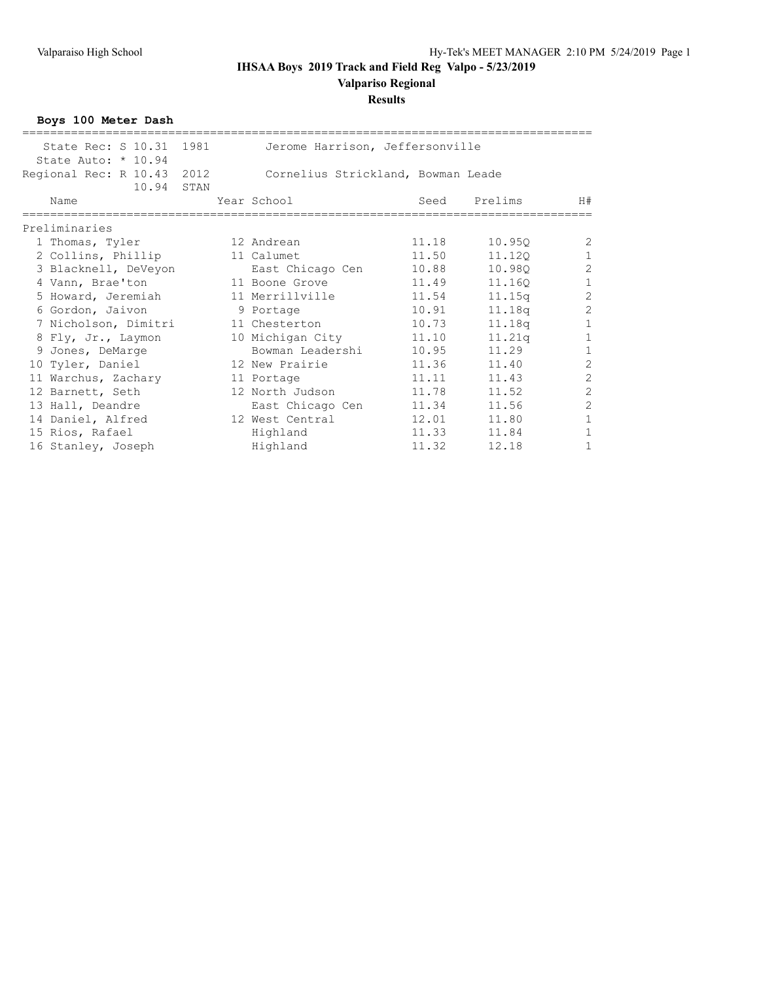**Valpariso Regional**

### **Results**

**Boys 100 Meter Dash**

| State Rec: S 10.31 1981                           | Jerome Harrison, Jeffersonville    |       |         |                |
|---------------------------------------------------|------------------------------------|-------|---------|----------------|
| State Auto: * 10.94<br>Regional Rec: R 10.43 2012 | Cornelius Strickland, Bowman Leade |       |         |                |
| 10.94 STAN                                        |                                    |       |         |                |
| Name                                              | Year School                        | Seed  | Prelims | H#             |
| Preliminaries                                     |                                    |       |         |                |
| 1 Thomas, Tyler                                   | 12 Andrean                         | 11.18 | 10.950  | 2              |
| 2 Collins, Phillip                                | 11 Calumet                         | 11.50 | 11,120  | $\mathbf{1}$   |
| 3 Blacknell, DeVeyon                              | East Chicago Cen                   | 10.88 | 10.980  | $\overline{c}$ |
| 4 Vann, Brae'ton                                  | 11 Boone Grove                     | 11.49 | 11.160  | $\mathbf{1}$   |
| 5 Howard, Jeremiah                                | 11 Merrillville                    | 11.54 | 11.15q  | $\sqrt{2}$     |
| 6 Gordon, Jaivon                                  | 9 Portage                          | 10.91 | 11.18q  | $\overline{c}$ |
| 7 Nicholson, Dimitri                              | 11 Chesterton                      | 10.73 | 11.18q  | $\mathbf{1}$   |
| 8 Fly, Jr., Laymon                                | 10 Michigan City                   | 11.10 | 11.21q  | $\mathbf{1}$   |
| 9 Jones, DeMarge                                  | Bowman Leadershi                   | 10.95 | 11.29   | $\mathbf{1}$   |
| 10 Tyler, Daniel                                  | 12 New Prairie                     | 11.36 | 11.40   | $\overline{c}$ |
| 11 Warchus, Zachary                               | 11 Portage                         | 11.11 | 11.43   | $\overline{c}$ |
| 12 Barnett, Seth                                  | 12 North Judson                    | 11.78 | 11.52   | $\overline{2}$ |
| 13 Hall, Deandre                                  | East Chicago Cen                   | 11.34 | 11.56   | $\mathbf{2}$   |
| 14 Daniel, Alfred                                 | 12 West Central                    | 12.01 | 11.80   | $\mathbf{1}$   |
| 15 Rios, Rafael                                   | Highland                           | 11.33 | 11.84   | $\mathbf{1}$   |
| 16 Stanley, Joseph                                | Highland                           | 11.32 | 12.18   | $\mathbf{1}$   |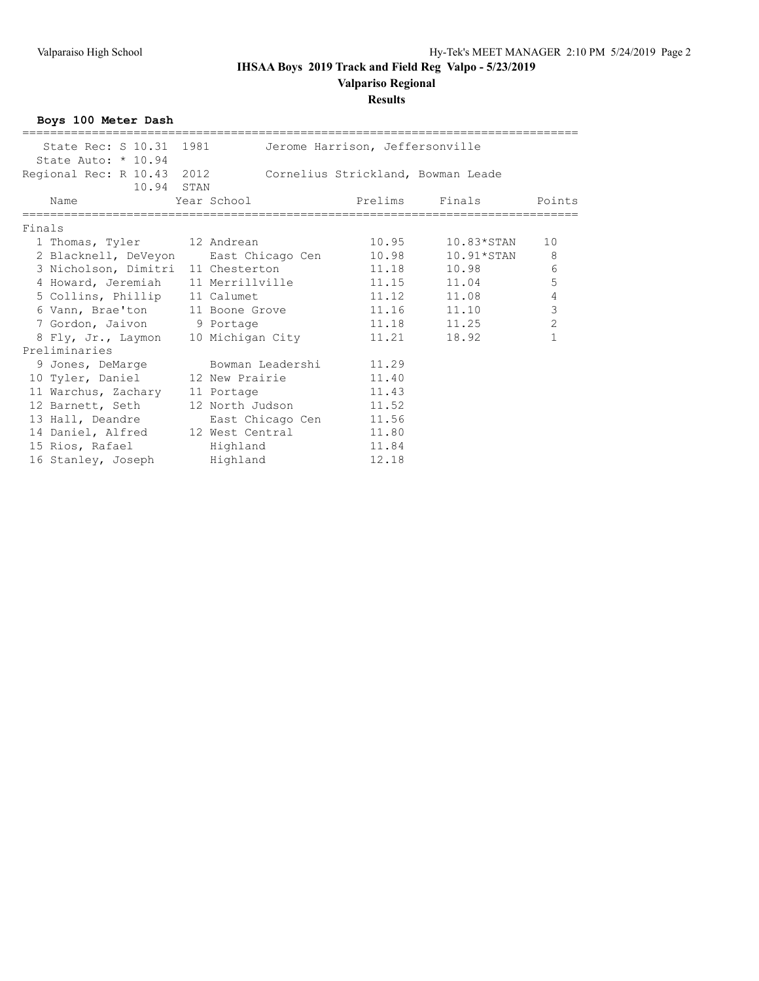**Valpariso Regional**

#### **Results**

**Boys 100 Meter Dash** ================================================================================ State Rec: S 10.31 1981 Jerome Harrison, Jeffersonville State Auto: \* 10.94 Regional Rec: R 10.43 2012 Cornelius Strickland, Bowman Leade 10.94 STAN Name Year School Prelims Finals Points ================================================================================ Finals 1 Thomas, Tyler 12 Andrean 10.95 10.83\*STAN 10 2 Blacknell, DeVeyon East Chicago Cen 10.98 10.91\*STAN 8 3 Nicholson, Dimitri 11 Chesterton 11.18 10.98 6 4 Howard, Jeremiah 11 Merrillville 11.15 11.04 5 5 Collins, Phillip 11 Calumet 11.12 11.08 4 6 Vann, Brae'ton 11 Boone Grove 11.16 11.10 3 7 Gordon, Jaivon 9 Portage 11.18 11.25 2 8 Fly, Jr., Laymon 10 Michigan City 11.21 18.92 1 Preliminaries 9 Jones, DeMarge Bowman Leadershi 11.29 10 Tyler, Daniel 12 New Prairie 11.40 11 Warchus, Zachary 11 Portage 11.43 12 Barnett, Seth 12 North Judson 11.52 13 Hall, Deandre **East Chicago Cen** 11.56 14 Daniel, Alfred 12 West Central 11.80 15 Rios, Rafael **Highland** 11.84 16 Stanley, Joseph Highland 12.18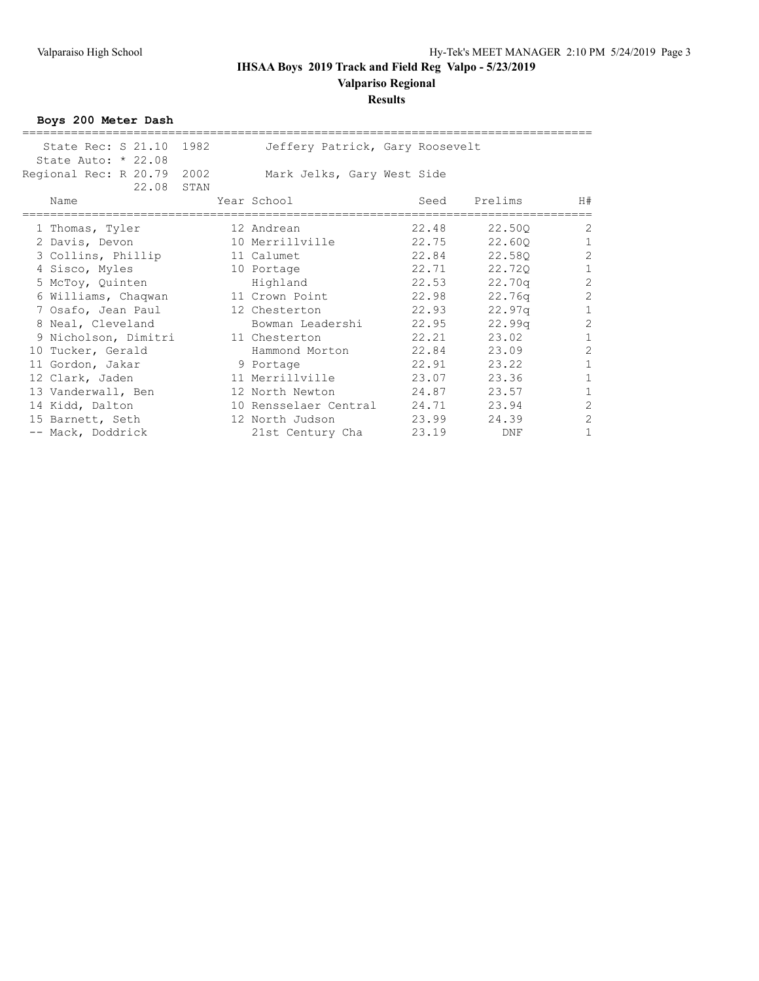**Valpariso Regional**

### **Results**

**Boys 200 Meter Dash**

| 22.08 | STAN                                                                                                                                                                                                                                                                                                                                   |                                                                               |                |                                                                                                                                                                                                    |                                                                    |                                                                                                                                                                                              |
|-------|----------------------------------------------------------------------------------------------------------------------------------------------------------------------------------------------------------------------------------------------------------------------------------------------------------------------------------------|-------------------------------------------------------------------------------|----------------|----------------------------------------------------------------------------------------------------------------------------------------------------------------------------------------------------|--------------------------------------------------------------------|----------------------------------------------------------------------------------------------------------------------------------------------------------------------------------------------|
| Name  |                                                                                                                                                                                                                                                                                                                                        |                                                                               |                | Seed                                                                                                                                                                                               | Prelims                                                            | H#                                                                                                                                                                                           |
|       |                                                                                                                                                                                                                                                                                                                                        |                                                                               |                |                                                                                                                                                                                                    | 22,500                                                             | $\overline{2}$                                                                                                                                                                               |
|       |                                                                                                                                                                                                                                                                                                                                        |                                                                               |                |                                                                                                                                                                                                    | 22,600                                                             | $\mathbf{1}$                                                                                                                                                                                 |
|       |                                                                                                                                                                                                                                                                                                                                        |                                                                               |                |                                                                                                                                                                                                    | 22,580                                                             | $\overline{c}$                                                                                                                                                                               |
|       |                                                                                                                                                                                                                                                                                                                                        |                                                                               |                |                                                                                                                                                                                                    | 22,720                                                             | $\mathbf 1$                                                                                                                                                                                  |
|       |                                                                                                                                                                                                                                                                                                                                        |                                                                               | Highland       |                                                                                                                                                                                                    | 22.70q                                                             | $\overline{c}$                                                                                                                                                                               |
|       |                                                                                                                                                                                                                                                                                                                                        |                                                                               |                |                                                                                                                                                                                                    | 22.76q                                                             | $\overline{c}$                                                                                                                                                                               |
|       |                                                                                                                                                                                                                                                                                                                                        |                                                                               |                |                                                                                                                                                                                                    | 22.97q                                                             | $\mathbf 1$                                                                                                                                                                                  |
|       |                                                                                                                                                                                                                                                                                                                                        |                                                                               |                |                                                                                                                                                                                                    | 22.99q                                                             | $\overline{c}$                                                                                                                                                                               |
|       |                                                                                                                                                                                                                                                                                                                                        |                                                                               |                |                                                                                                                                                                                                    | 23.02                                                              | $\mathbf{1}$                                                                                                                                                                                 |
|       |                                                                                                                                                                                                                                                                                                                                        |                                                                               | Hammond Morton |                                                                                                                                                                                                    | 23.09                                                              | $\overline{c}$                                                                                                                                                                               |
|       |                                                                                                                                                                                                                                                                                                                                        |                                                                               |                |                                                                                                                                                                                                    | 23.22                                                              | $\mathbf{1}$                                                                                                                                                                                 |
|       |                                                                                                                                                                                                                                                                                                                                        |                                                                               |                |                                                                                                                                                                                                    | 23.36                                                              | $\mathbf{1}$                                                                                                                                                                                 |
|       |                                                                                                                                                                                                                                                                                                                                        |                                                                               |                |                                                                                                                                                                                                    | 23.57                                                              | $\mathbf{1}$                                                                                                                                                                                 |
|       |                                                                                                                                                                                                                                                                                                                                        |                                                                               |                |                                                                                                                                                                                                    | 23.94                                                              | $\overline{2}$                                                                                                                                                                               |
|       |                                                                                                                                                                                                                                                                                                                                        |                                                                               |                |                                                                                                                                                                                                    | 24.39                                                              | $\overline{c}$                                                                                                                                                                               |
|       |                                                                                                                                                                                                                                                                                                                                        |                                                                               |                | 23.19                                                                                                                                                                                              | DNF                                                                | $\mathbf{1}$                                                                                                                                                                                 |
|       | State Auto: $* 22.08$<br>1 Thomas, Tyler<br>2 Davis, Devon<br>3 Collins, Phillip<br>4 Sisco, Myles<br>5 McToy, Quinten<br>6 Williams, Chaqwan<br>7 Osafo, Jean Paul<br>8 Neal, Cleveland<br>10 Tucker, Gerald<br>11 Gordon, Jakar<br>12 Clark, Jaden<br>13 Vanderwall, Ben<br>14 Kidd, Dalton<br>15 Barnett, Seth<br>-- Mack, Doddrick | State Rec: S 21.10 1982<br>Regional Rec: R 20.79 2002<br>9 Nicholson, Dimitri |                | Year School<br>12 Andrean<br>10 Merrillville<br>11 Calumet<br>10 Portage<br>11 Crown Point<br>12 Chesterton<br>11 Chesterton<br>9 Portage<br>11 Merrillville<br>12 North Newton<br>12 North Judson | Mark Jelks, Gary West Side<br>Bowman Leadershi<br>21st Century Cha | Jeffery Patrick, Gary Roosevelt<br>22.48<br>22.75<br>22.84<br>22.71<br>22.53<br>22.98<br>22.93<br>22.95<br>22.21<br>22.84<br>22.91<br>23.07<br>24.87<br>10 Rensselaer Central 24.71<br>23.99 |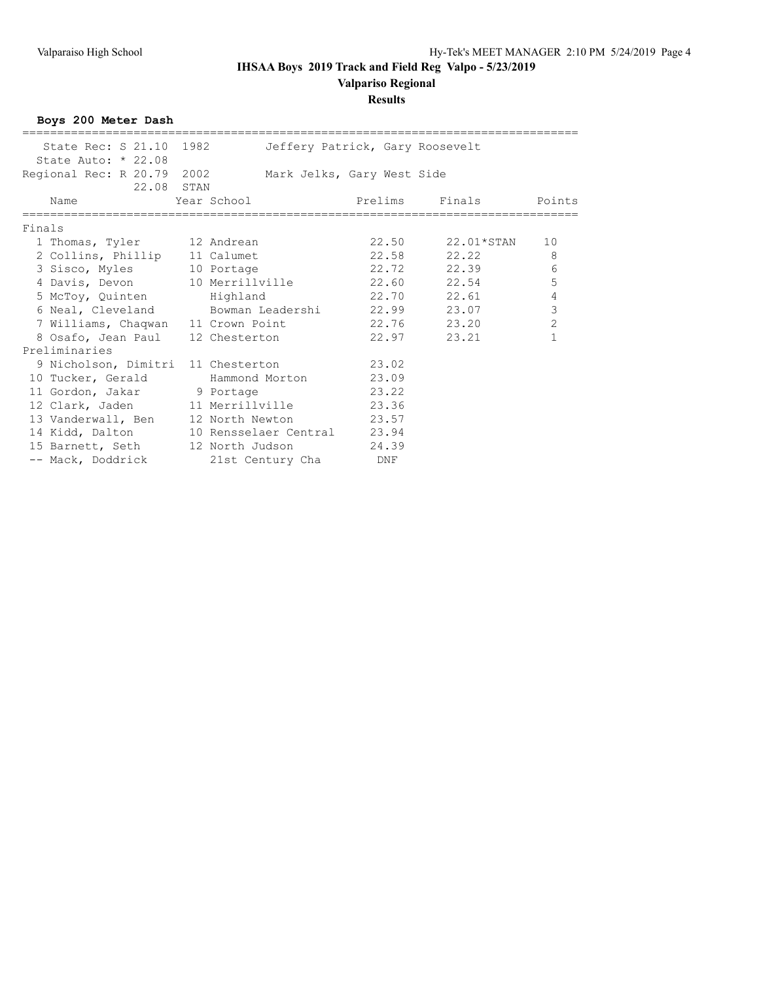**Valpariso Regional**

#### **Results**

**Boys 200 Meter Dash** ================================================================================ State Rec: S 21.10 1982 Jeffery Patrick, Gary Roosevelt State Auto: \* 22.08 Regional Rec: R 20.79 2002 Mark Jelks, Gary West Side 22.08 STAN<br>Name Year School Prelims Finals Points ================================================================================ Finals 1 Thomas, Tyler 12 Andrean 22.50 22.01\*STAN 10 2 Collins, Phillip 11 Calumet 22.58 22.22 8 3 Sisco, Myles 10 Portage 22.72 22.39 6 4 Davis, Devon 10 Merrillville 22.60 22.54 5 5 McToy, Quinten Highland 22.70 22.61 4 6 Neal, Cleveland Bowman Leadershi 22.99 23.07 3 7 Williams, Chaqwan 11 Crown Point 22.76 23.20 2 8 Osafo, Jean Paul 12 Chesterton 22.97 23.21 1 Preliminaries 9 Nicholson, Dimitri 11 Chesterton 23.02 10 Tucker, Gerald Hammond Morton 23.09 11 Gordon, Jakar 9 Portage 19 23.22 12 Clark, Jaden 11 Merrillville 23.36 13 Vanderwall, Ben 12 North Newton 23.57 14 Kidd, Dalton 10 Rensselaer Central 23.94 15 Barnett, Seth 12 North Judson 24.39 -- Mack, Doddrick and 21st Century Cha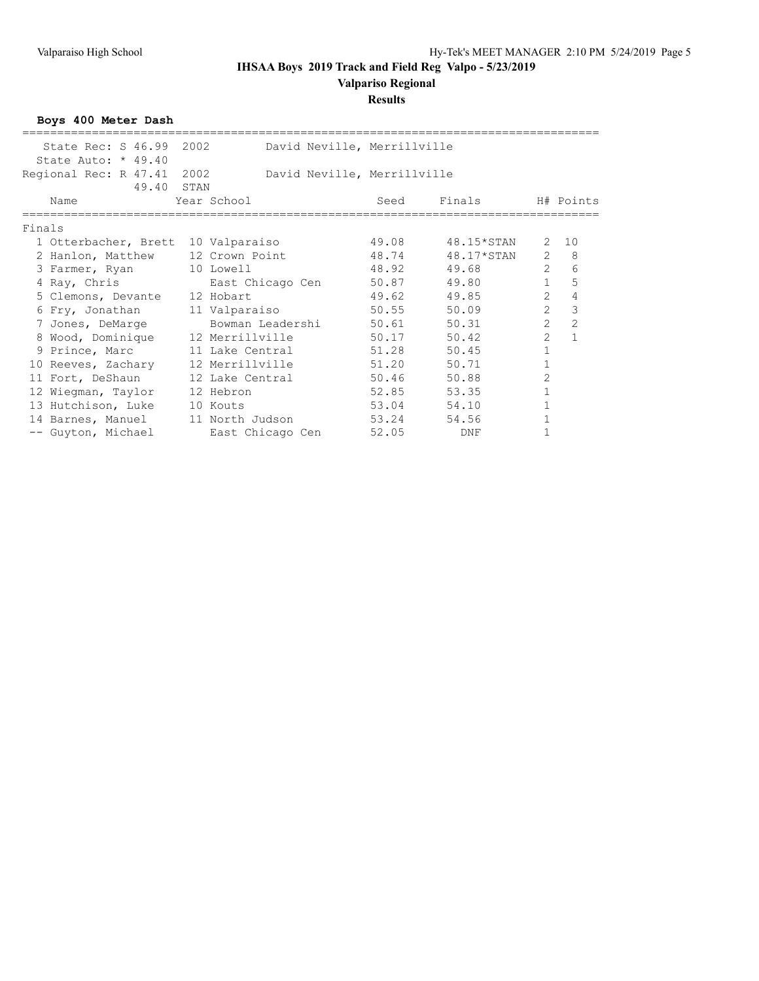#### **Valpariso Regional**

#### **Results**

**Boys 400 Meter Dash** =================================================================================== State Rec: S 46.99 2002 David Neville, Merrillville State Auto: \* 49.40 Regional Rec: R 47.41 2002 David Neville, Merrillville 49.40 STAN<br>Year School Name  $Year School$  Seed Finals H# Points =================================================================================== Finals 1 Otterbacher, Brett 10 Valparaiso 49.08 48.15\*STAN 2 10 2 Hanlon, Matthew 12 Crown Point 48.74 48.17\*STAN 2 8 3 Farmer, Ryan 10 Lowell 48.92 49.68 2 6 4 Ray, Chris East Chicago Cen 50.87 49.80 1 5 5 Clemons, Devante 12 Hobart 12 49.62 49.62 49.85 2 4 6 Fry, Jonathan 11 Valparaiso 50.55 50.09 2 3 7 Jones, DeMarge Bowman Leadershi 50.61 50.31 2 2 8 Wood, Dominique 12 Merrillville 50.17 50.42 2 1 9 Prince, Marc 11 Lake Central 51.28 50.45 1 10 Reeves, Zachary 12 Merrillville 51.20 50.71 1 11 Fort, DeShaun 12 Lake Central 50.46 50.88 2 12 Wiegman, Taylor 12 Hebron 52.85 53.35 1 13 Hutchison, Luke 10 Kouts 53.04 54.10 1 14 Barnes, Manuel 11 North Judson 53.24 54.56 1 -- Guyton, Michael East Chicago Cen 52.05 DNF 1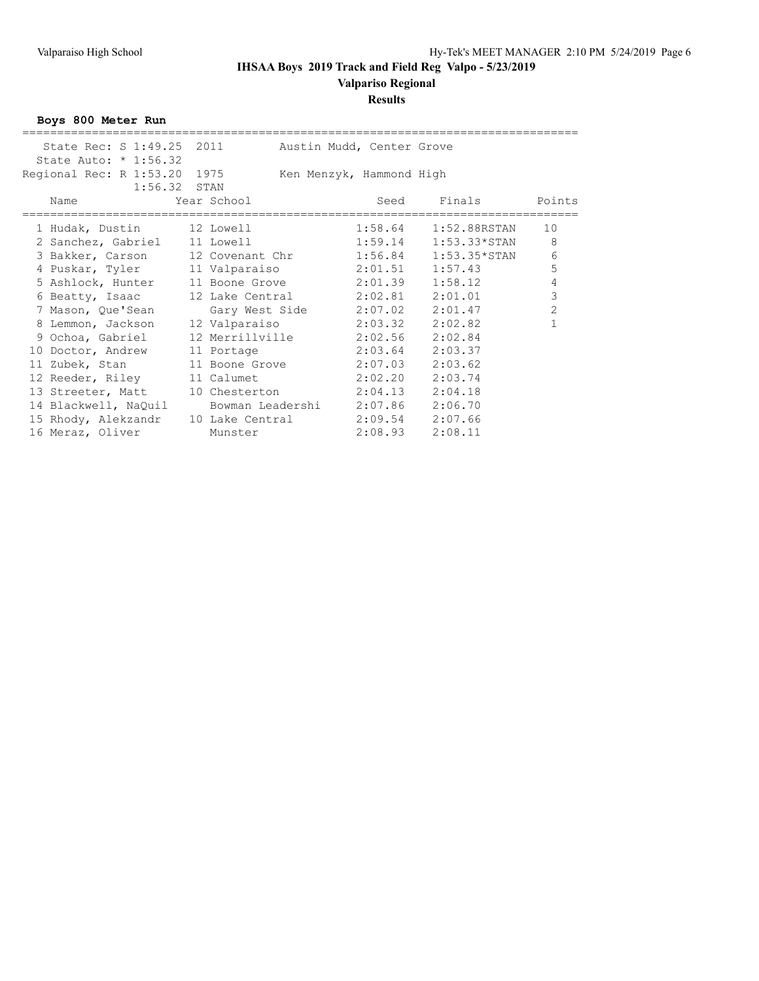**Valpariso Regional**

### **Results**

**Boys 800 Meter Run**

| State Rec: S 1:49.25 2011 Austin Mudd, Center Grove   |                                  |                          |                           |                |
|-------------------------------------------------------|----------------------------------|--------------------------|---------------------------|----------------|
| State Auto: * 1:56.32                                 |                                  |                          |                           |                |
| Regional Rec: R 1:53.20 1975                          |                                  | Ken Menzyk, Hammond High |                           |                |
| $1:56.32$ STAN                                        |                                  |                          |                           |                |
| Name                                                  | Year School                      |                          | Seed Finals Points        |                |
|                                                       |                                  |                          |                           |                |
| 1 Hudak, Dustin 12 Lowell                             |                                  |                          | $1:58.64$ $1:52.88$ RSTAN | 10             |
|                                                       |                                  |                          |                           |                |
| 2 Sanchez, Gabriel 11 Lowell 1:59.14 1:53.33*STAN     |                                  |                          |                           | 8              |
| 3 Bakker, Carson 12 Covenant Chr 1:56.84 1:53.35*STAN |                                  |                          |                           | $\epsilon$     |
| 4 Puskar, Tyler 11 Valparaiso 2:01.51 1:57.43         |                                  |                          |                           | 5              |
| 5 Ashlock, Hunter 11 Boone Grove 2:01.39 1:58.12      |                                  |                          |                           | 4              |
| 6 Beatty, Isaac 12 Lake Central 2:02.81               |                                  |                          | 2:01.01                   | $\mathcal{S}$  |
| 7 Mason, Que'Sean Gary West Side 2:07.02 2:01.47      |                                  |                          |                           | $\overline{c}$ |
| 8 Lemmon, Jackson 12 Valparaiso 2:03.32 2:02.82       |                                  |                          |                           |                |
| 9 Ochoa, Gabriel 12 Merrillville 2:02.56 2:02.84      |                                  |                          |                           |                |
| 10 Doctor, Andrew 11 Portage 2:03.64 2:03.37          |                                  |                          |                           |                |
| 11 Zubek, Stan 11 Boone Grove 2:07.03 2:03.62         |                                  |                          |                           |                |
| 12 Reeder, Riley 11 Calumet 2:02.20                   |                                  |                          | 2:03.74                   |                |
| 13 Streeter, Matt 10 Chesterton 2:04.13 2:04.18       |                                  |                          |                           |                |
| 14 Blackwell, NaQuil                                  | Bowman Leadershi 2:07.86 2:06.70 |                          |                           |                |
| 15 Rhody, Alekzandr 10 Lake Central                   |                                  | $2:09.54$ 2:07.66        |                           |                |
| 16 Meraz, Oliver                                      | Munster                          | 2:08.93                  | 2:08.11                   |                |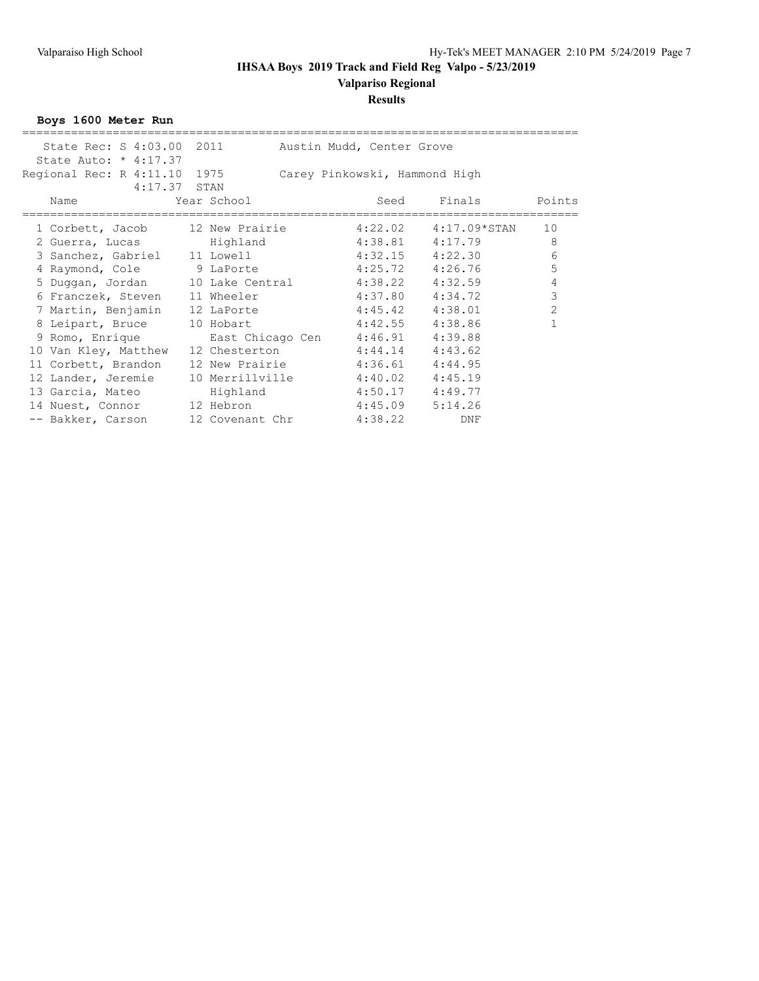## **Valpariso Regional**

### **Results**

**Boys 1600 Meter Run**

| State Rec: S 4:03.00 2011                        |                                  | Austin Mudd, Center Grove     |                          |                |
|--------------------------------------------------|----------------------------------|-------------------------------|--------------------------|----------------|
| State Auto: $* 4:17.37$                          |                                  |                               |                          |                |
| Regional Rec: R 4:11.10 1975                     |                                  | Carey Pinkowski, Hammond High |                          |                |
| $4:17.37$ STAN                                   |                                  |                               |                          |                |
| Name                                             | Year School                      | Seed                          | Finals                   | Points         |
|                                                  |                                  |                               |                          |                |
| 1 Corbett, Jacob 12 New Prairie                  |                                  |                               | $4:22.02$ $4:17.09*STAN$ | 10             |
| 2 Guerra, Lucas and Highland                     |                                  |                               | $4:38.81$ $4:17.79$      | 8              |
| 3 Sanchez, Gabriel 11 Lowell 4:32.15 4:22.30     |                                  |                               |                          | 6              |
| 4 Raymond, Cole 9 LaPorte                        |                                  |                               | $4:25.72$ $4:26.76$      | 5              |
| 5 Duggan, Jordan 10 Lake Central 4:38.22 4:32.59 |                                  |                               |                          | $\overline{4}$ |
| 6 Franczek, Steven 11 Wheeler                    |                                  |                               | $4:37.80$ $4:34.72$      | $\mathcal{S}$  |
| 7 Martin, Benjamin 12 LaPorte 4:45.42 4:38.01    |                                  |                               |                          | $\overline{2}$ |
| 8 Leipart, Bruce 10 Hobart                       |                                  | $4:42.55$ $4:38.86$           |                          |                |
| 9 Romo, Enrique                                  | East Chicago Cen 4:46.91 4:39.88 |                               |                          |                |
| 10 Van Kley, Matthew                             | 12 Chesterton 4:44.14            |                               | 4:43.62                  |                |
| 11 Corbett, Brandon                              | 12 New Prairie 4:36.61 4:44.95   |                               |                          |                |
| 12 Lander, Jeremie                               | 10 Merrillville 4:40.02 4:45.19  |                               |                          |                |
| 13 Garcia, Mateo Mighland                        |                                  | $4:50.17$ $4:49.77$           |                          |                |
| 14 Nuest, Connor 12 Hebron 4:45.09               |                                  |                               | 5:14.26                  |                |
| -- Bakker, Carson                                | 12 Covenant Chr                  | 4:38.22                       | <b>DNF</b>               |                |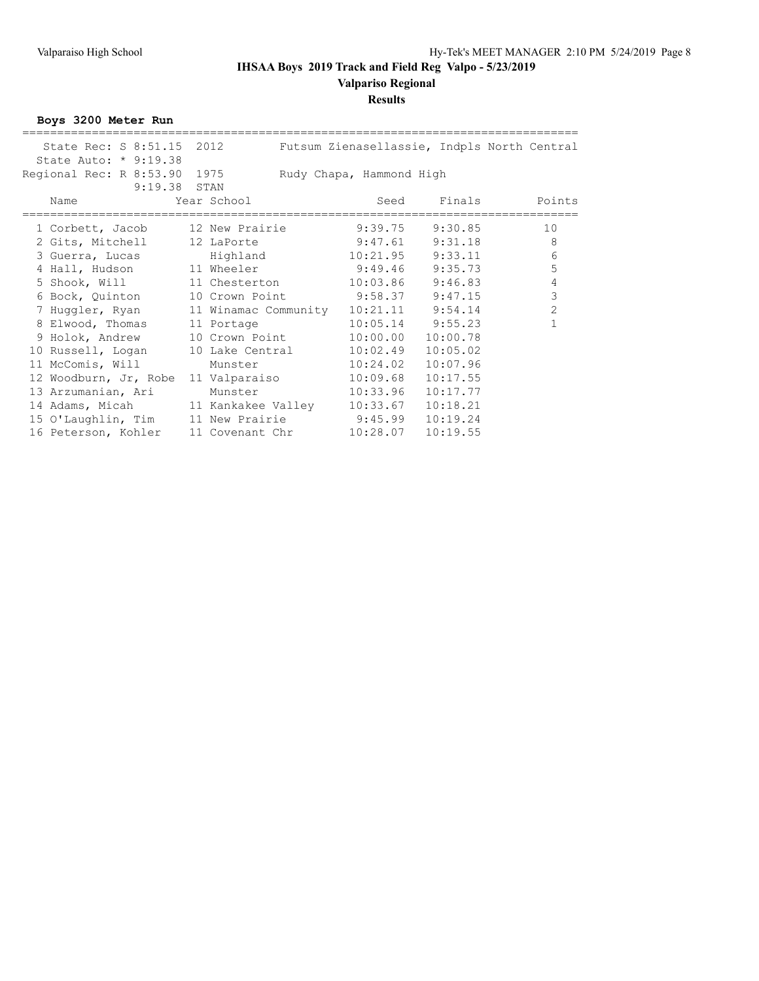**Valpariso Regional**

### **Results**

**Boys 3200 Meter Run**

| State Rec: S 8:51.15 2012                        |                 | Futsum Zienasellassie, Indpls North Central |                    |                |
|--------------------------------------------------|-----------------|---------------------------------------------|--------------------|----------------|
| State Auto: * 9:19.38                            |                 |                                             |                    |                |
| Regional Rec: R 8:53.90 1975                     |                 | Rudy Chapa, Hammond High                    |                    |                |
| 9:19.38 STAN                                     |                 |                                             |                    |                |
| Name                                             | Year School     |                                             | Seed Finals Points |                |
|                                                  |                 |                                             |                    |                |
| 1 Corbett, Jacob 12 New Prairie                  |                 | 9:39.75                                     | 9:30.85            | 10             |
| 2 Gits, Mitchell 12 LaPorte 9:47.61 9:31.18      |                 |                                             |                    | $\,8\,$        |
| 3 Guerra, Lucas Highland 10:21.95 9:33.11        |                 |                                             |                    | 6              |
| 4 Hall, Hudson 11 Wheeler 9:49.46 9:35.73        |                 |                                             |                    | 5              |
| 5 Shook, Will $11$ Chesterton $10:03.86$ 9:46.83 |                 |                                             |                    | $\overline{4}$ |
| 6 Bock, Quinton 10 Crown Point 9:58.37 9:47.15   |                 |                                             |                    | $\mathcal{S}$  |
| 7 Huggler, Ryan 11 Winamac Community             |                 | $10:21.11$ $9:54.14$                        |                    | $\overline{2}$ |
| 8 Elwood, Thomas 11 Portage                      |                 | 10:05.14                                    | 9:55.23            |                |
| 9 Holok, Andrew 10 Crown Point                   |                 | 10:00.00                                    | 10:00.78           |                |
| 10 Russell, Logan                                | 10 Lake Central | 10:02.49                                    | 10:05.02           |                |
| 11 McComis, Will                                 | Munster         | 10:24.02                                    | 10:07.96           |                |
| 12 Woodburn, Jr, Robe                            | 11 Valparaiso   | 10:09.68                                    | 10:17.55           |                |
| 13 Arzumanian, Ari                               | Munster         | 10:33.96                                    | 10:17.77           |                |
| 14 Adams, Micah 11 Kankakee Valley               |                 | 10:33.67                                    | 10:18.21           |                |
| 15 O'Laughlin, Tim 11 New Prairie 9:45.99        |                 |                                             | 10:19.24           |                |
| 16 Peterson, Kohler                              | 11 Covenant Chr | 10:28.07                                    | 10:19.55           |                |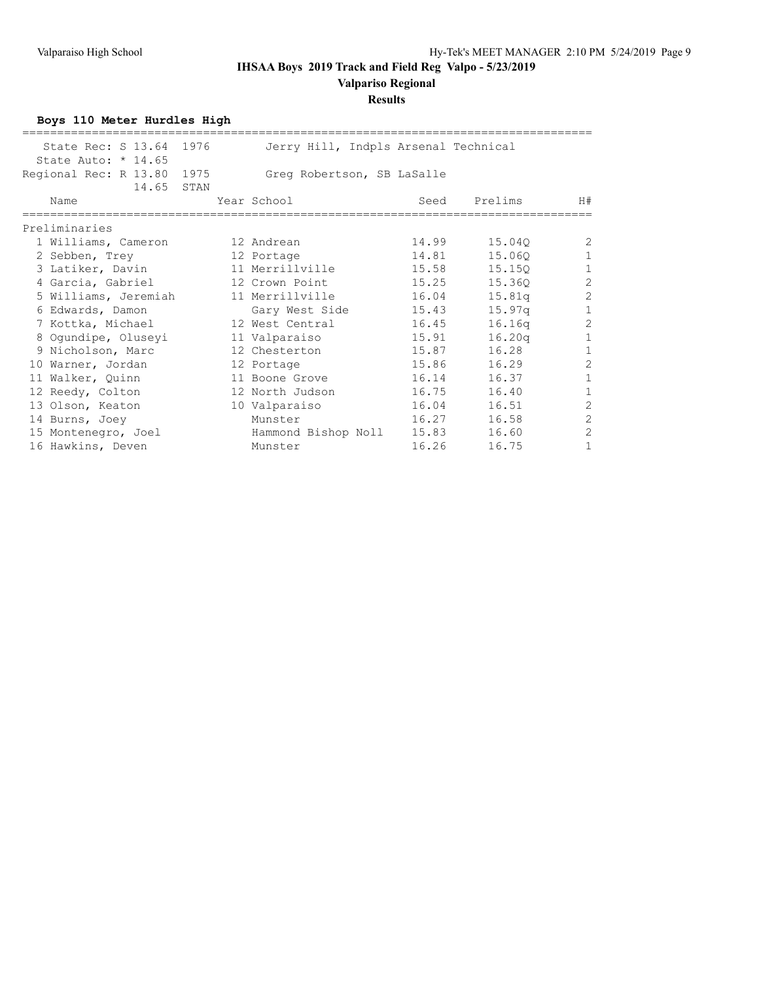# **Valpariso Regional**

### **Results**

**Boys 110 Meter Hurdles High**

| State Rec: S 13.64 1976<br>State Auto: $*$ 14.65 |      | Jerry Hill, Indpls Arsenal Technical |       |                    |                |
|--------------------------------------------------|------|--------------------------------------|-------|--------------------|----------------|
| Regional Rec: R 13.80<br>14.65 STAN              | 1975 | Greg Robertson, SB LaSalle           |       |                    |                |
| Name                                             |      | Year School                          | Seed  | Prelims            | H#             |
| Preliminaries                                    |      |                                      |       |                    |                |
| 1 Williams, Cameron                              |      | 12 Andrean                           | 14.99 | 15.040             | 2              |
| 2 Sebben, Trey                                   |      | 12 Portage                           | 14.81 | 15.060             | $\mathbf{1}$   |
| 3 Latiker, Davin                                 |      | 11 Merrillville                      | 15.58 | 15.150             | $\mathbf{1}$   |
| 4 Garcia, Gabriel                                |      | 12 Crown Point                       | 15.25 | 15.360             | $\mathbf{2}$   |
| 5 Williams, Jeremiah                             |      | 11 Merrillville                      | 16.04 | 15.81q             | $\overline{c}$ |
| 6 Edwards, Damon                                 |      | Gary West Side                       | 15.43 | 15.97 <sub>q</sub> | $\mathbf{1}$   |
| 7 Kottka, Michael                                |      | 12 West Central                      | 16.45 | 16.16q             | $\overline{2}$ |
| 8 Ogundipe, Oluseyi                              |      | 11 Valparaiso                        | 15.91 | 16.20q             | $\mathbf{1}$   |
| 9 Nicholson, Marc                                |      | 12 Chesterton                        | 15.87 | 16.28              | $\mathbf{1}$   |
| 10 Warner, Jordan                                |      | 12 Portage                           | 15.86 | 16.29              | $\overline{c}$ |
| 11 Walker, Quinn                                 |      | 11 Boone Grove                       | 16.14 | 16.37              | $\mathbf{1}$   |
| 12 Reedy, Colton                                 |      | 12 North Judson                      | 16.75 | 16.40              | $\mathbf{1}$   |
| 13 Olson, Keaton                                 |      | 10 Valparaiso                        | 16.04 | 16.51              | $\overline{c}$ |
| 14 Burns, Joey                                   |      | Munster                              | 16.27 | 16.58              | $\overline{2}$ |
| 15 Montenegro, Joel                              |      | Hammond Bishop Noll                  | 15.83 | 16.60              | $\overline{2}$ |
| 16 Hawkins, Deven                                |      | Munster                              | 16.26 | 16.75              | $\mathbf{1}$   |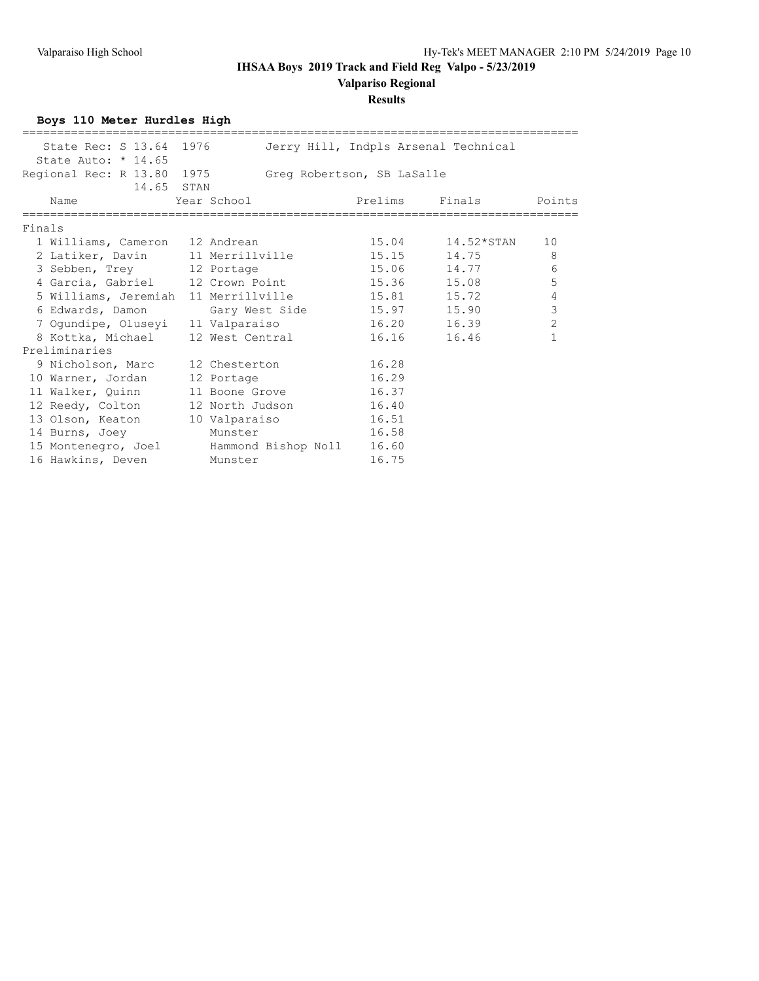## **Valpariso Regional**

### **Results**

**Boys 110 Meter Hurdles High**

| State Rec: S 13.64 1976                          |             |                 |                            | Jerry Hill, Indpls Arsenal Technical |                |
|--------------------------------------------------|-------------|-----------------|----------------------------|--------------------------------------|----------------|
| State Auto: $*$ 14.65                            |             |                 |                            |                                      |                |
| Regional Rec: R 13.80 1975                       |             |                 | Greq Robertson, SB LaSalle |                                      |                |
|                                                  | 14.65 STAN  |                 |                            |                                      |                |
| Name                                             | Year School |                 |                            | Prelims Finals                       | Points         |
| Finals                                           |             |                 |                            |                                      |                |
| 1 Williams, Cameron 12 Andrean                   |             |                 |                            | $15.04$ $14.52*STAN$                 | 10             |
| 2 Latiker, Davin 11 Merrillville                 |             |                 |                            | 15.15 14.75                          | - 8            |
| 3 Sebben, Trey 12 Portage                        |             |                 |                            | 15.06 14.77                          | 6              |
| 4 Garcia, Gabriel 12 Crown Point 15.36 15.08     |             |                 |                            |                                      | 5              |
| 5 Williams, Jeremiah 11 Merrillville 15.81 15.72 |             |                 |                            |                                      | $\sqrt{4}$     |
| 6 Edwards, Damon                                 |             |                 | Gary West Side 15.97 15.90 |                                      | $\mathcal{S}$  |
| 7 Oqundipe, Oluseyi 11 Valparaiso                |             |                 | 16.20 16.39                |                                      | $\overline{2}$ |
| 8 Kottka, Michael                                |             | 12 West Central |                            | 16.16 16.46                          | $\mathbf{1}$   |
| Preliminaries                                    |             |                 |                            |                                      |                |
| 9 Nicholson, Marc 12 Chesterton                  |             |                 | 16.28                      |                                      |                |
| 10 Warner, Jordan 12 Portage                     |             |                 | 16.29                      |                                      |                |
| 11 Walker, Quinn 11 Boone Grove 16.37            |             |                 |                            |                                      |                |
| 12 Reedy, Colton 12 North Judson 16.40           |             |                 |                            |                                      |                |
| 13 Olson, Keaton 10 Valparaiso                   |             |                 | 16.51                      |                                      |                |
| 14 Burns, Joey                                   |             | Munster         | 16.58                      |                                      |                |
| 15 Montenegro, Joel Bammond Bishop Noll 16.60    |             |                 |                            |                                      |                |
| 16 Hawkins, Deven                                |             | Munster         | 16.75                      |                                      |                |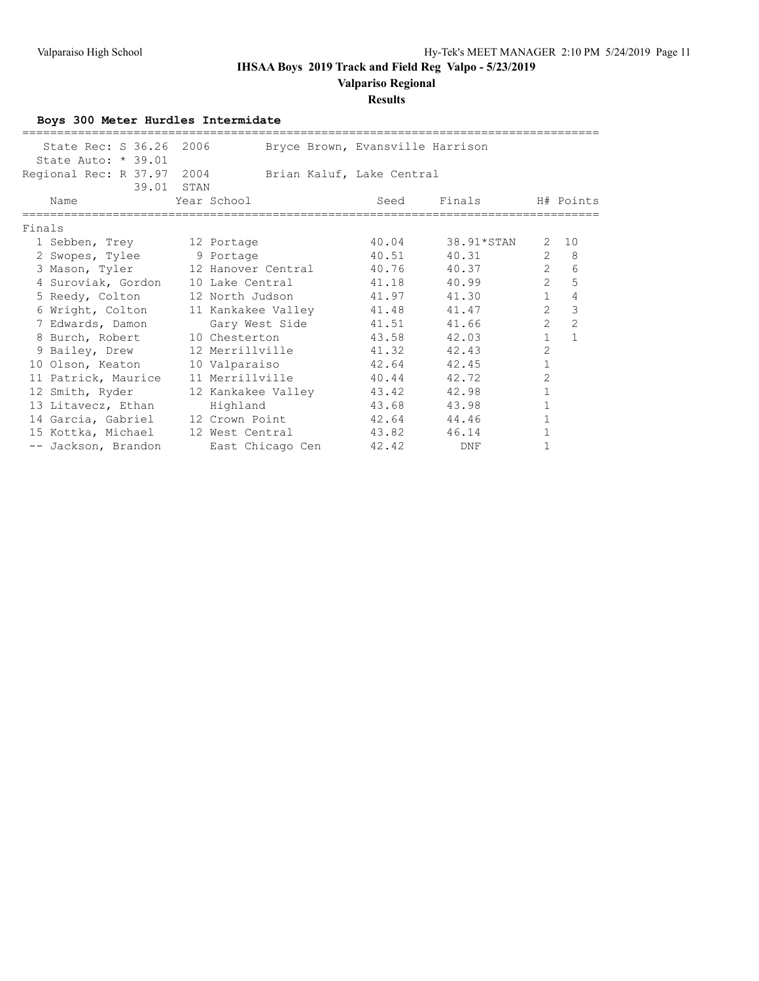**Valpariso Regional**

#### **Results**

**Boys 300 Meter Hurdles Intermidate** =================================================================================== State Rec: S 36.26 2006 Bryce Brown, Evansville Harrison State Auto: \* 39.01 Regional Rec: R 37.97 2004 Brian Kaluf, Lake Central 191111<br>39.01 STAN<br>Name Year School Seed Finals H# Points =================================================================================== Finals 1 Sebben, Trey 12 Portage 10.04 38.91\*STAN 2 10 2 Swopes, Tylee 9 Portage 40.51 40.31 2 8 3 Mason, Tyler 12 Hanover Central 40.76 40.37 2 6 4 Suroviak, Gordon 10 Lake Central 41.18 40.99 2 5 5 Reedy, Colton 12 North Judson 41.97 41.30 1 4 6 Wright, Colton 11 Kankakee Valley 41.48 41.47 2 3 7 Edwards, Damon Gary West Side 41.51 41.66 2 2 8 Burch, Robert 10 Chesterton 43.58 42.03 1 1 9 Bailey, Drew 12 Merrillville 41.32 42.43 2 10 Olson, Keaton 10 Valparaiso 42.64 42.45 1 11 Patrick, Maurice 11 Merrillville 40.44 42.72 2 12 Smith, Ryder 12 Kankakee Valley 43.42 42.98 1 13 Litavecz, Ethan Highland 13.68 43.98 1 14 Garcia, Gabriel 12 Crown Point 42.64 44.46 1 15 Kottka, Michael 12 West Central 43.82 46.14 1

-- Jackson, Brandon and East Chicago Cen and 42.42 DNF 1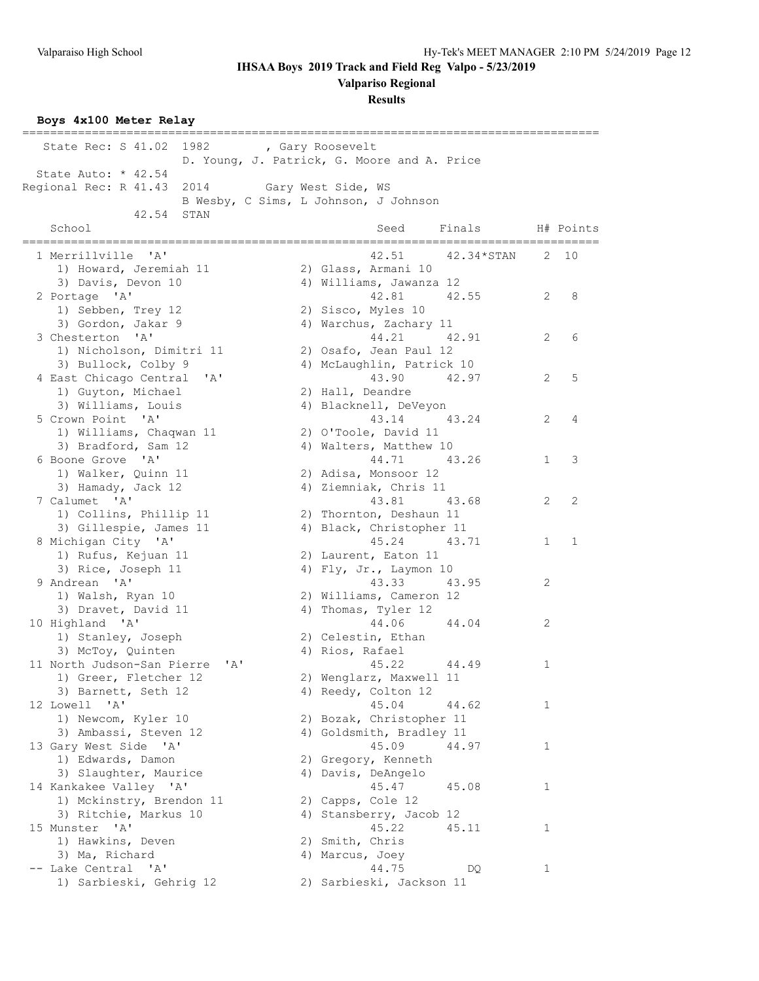**Valpariso Regional**

**Results**

**Boys 4x100 Meter Relay**

| State Rec: S 41.02 1982 , Gary Roosevelt         |                                             |              |              |
|--------------------------------------------------|---------------------------------------------|--------------|--------------|
|                                                  | D. Young, J. Patrick, G. Moore and A. Price |              |              |
| State Auto: * 42.54                              |                                             |              |              |
| 2014 Gary West Side, WS<br>Regional Rec: R 41.43 |                                             |              |              |
|                                                  | B Wesby, C Sims, L Johnson, J Johnson       |              |              |
| 42.54<br>STAN                                    |                                             |              |              |
| School                                           | Finals<br>Seed                              |              | H# Points    |
|                                                  |                                             |              |              |
| 1 Merrillville 'A'                               | 42.51<br>42.34*STAN                         | 2            | 10           |
| 1) Howard, Jeremiah 11                           | 2) Glass, Armani 10                         |              |              |
| 3) Davis, Devon 10                               | 4) Williams, Jawanza 12                     |              |              |
| 2 Portage 'A'                                    | 42.81<br>42.55                              | 2            | 8            |
| 1) Sebben, Trey 12                               | 2) Sisco, Myles 10                          |              |              |
| 3) Gordon, Jakar 9                               | 4) Warchus, Zachary 11                      |              |              |
| 3 Chesterton 'A'                                 | 44.21<br>42.91                              | 2            | 6            |
| 1) Nicholson, Dimitri 11                         | 2) Osafo, Jean Paul 12                      |              |              |
| 3) Bullock, Colby 9                              | 4) McLaughlin, Patrick 10                   |              |              |
| 4 East Chicago Central 'A'                       | 43.90 42.97                                 | 2            | 5            |
| 1) Guyton, Michael                               | 2) Hall, Deandre                            |              |              |
| 3) Williams, Louis                               | 4) Blacknell, DeVeyon                       |              |              |
| 5 Crown Point 'A'                                | 43.14 43.24                                 | 2            | 4            |
| 1) Williams, Chaqwan 11                          | 2) O'Toole, David 11                        |              |              |
| 3) Bradford, Sam 12                              | 4) Walters, Matthew 10                      |              |              |
| 6 Boone Grove 'A'                                | 44.71 43.26                                 | $\mathbf{1}$ | 3            |
| 1) Walker, Quinn 11                              | 2) Adisa, Monsoor 12                        |              |              |
| 3) Hamady, Jack 12                               | 4) Ziemniak, Chris 11                       |              |              |
| 7 Calumet 'A'                                    | 43.81<br>43.68                              | 2            | 2            |
| 1) Collins, Phillip 11                           | 2) Thornton, Deshaun 11                     |              |              |
| 3) Gillespie, James 11                           | 4) Black, Christopher 11                    |              |              |
| 8 Michigan City 'A'                              | 45.24<br>43.71                              | 1            | $\mathbf{1}$ |
| 1) Rufus, Kejuan 11                              | 2) Laurent, Eaton 11                        |              |              |
| 3) Rice, Joseph 11                               | 4) Fly, Jr., Laymon 10                      |              |              |
| 9 Andrean 'A'                                    | 43.33<br>43.95                              | 2            |              |
| 1) Walsh, Ryan 10                                | 2) Williams, Cameron 12                     |              |              |
| 3) Dravet, David 11                              | 4) Thomas, Tyler 12                         |              |              |
| 10 Highland 'A'                                  | 44.06<br>44.04                              | 2            |              |
| 1) Stanley, Joseph                               | 2) Celestin, Ethan                          |              |              |
| 3) McToy, Quinten                                | 4) Rios, Rafael                             |              |              |
| 11 North Judson-San Pierre<br>$\mathsf{A}$       | 45.22<br>44.49                              | 1            |              |
| 1) Greer, Fletcher 12                            | 2) Wenglarz, Maxwell 11                     |              |              |
| 3) Barnett, Seth 12                              | 4) Reedy, Colton 12                         |              |              |
| 12 Lowell 'A'                                    | 45.04<br>44.62                              | 1            |              |
| 1) Newcom, Kyler 10                              | 2) Bozak, Christopher 11                    |              |              |
| 3) Ambassi, Steven 12                            | 4) Goldsmith, Bradley 11                    |              |              |
| 13 Gary West Side 'A'                            | 45.09<br>44.97                              | 1            |              |
| 1) Edwards, Damon                                | 2) Gregory, Kenneth                         |              |              |
| 3) Slaughter, Maurice                            | 4) Davis, DeAngelo                          |              |              |
| 14 Kankakee Valley 'A'                           | 45.47<br>45.08                              | 1            |              |
| 1) Mckinstry, Brendon 11                         | 2) Capps, Cole 12                           |              |              |
| 3) Ritchie, Markus 10                            | 4) Stansberry, Jacob 12                     |              |              |
| 15 Munster 'A'                                   | 45.22<br>45.11                              | 1            |              |
| 1) Hawkins, Deven                                | 2) Smith, Chris                             |              |              |
| 3) Ma, Richard                                   | 4) Marcus, Joey                             |              |              |
| -- Lake Central 'A'                              | 44.75<br>DQ.                                | 1            |              |
| 1) Sarbieski, Gehrig 12                          | 2) Sarbieski, Jackson 11                    |              |              |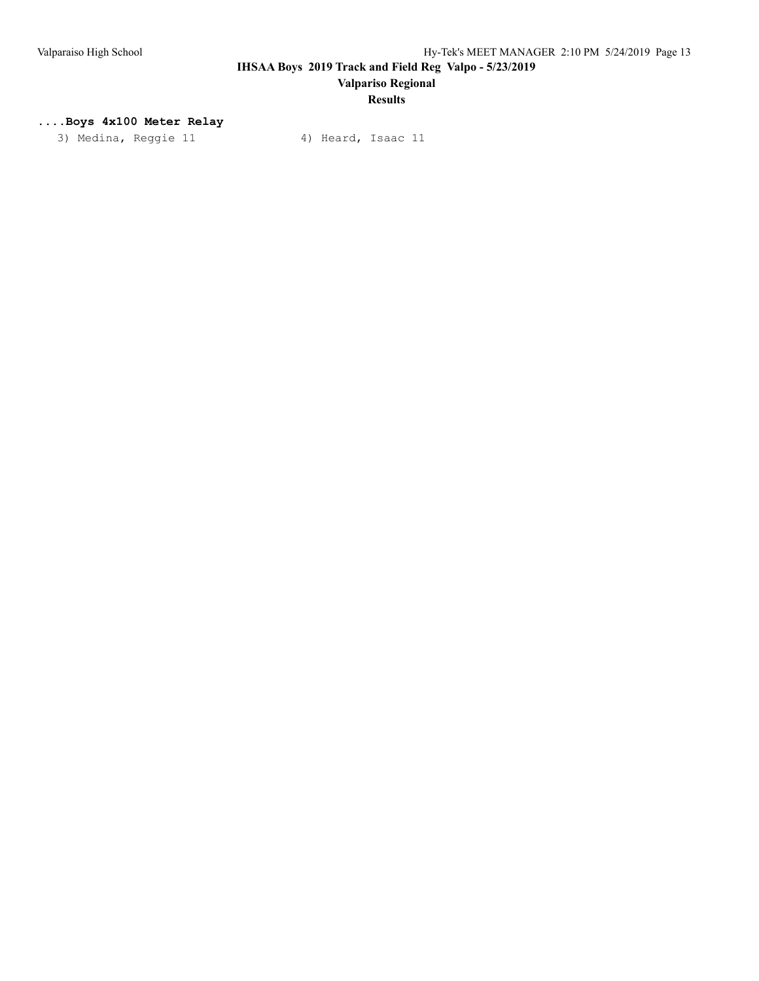# **Results**

### **....Boys 4x100 Meter Relay**

3) Medina, Reggie 11 4) Heard, Isaac 11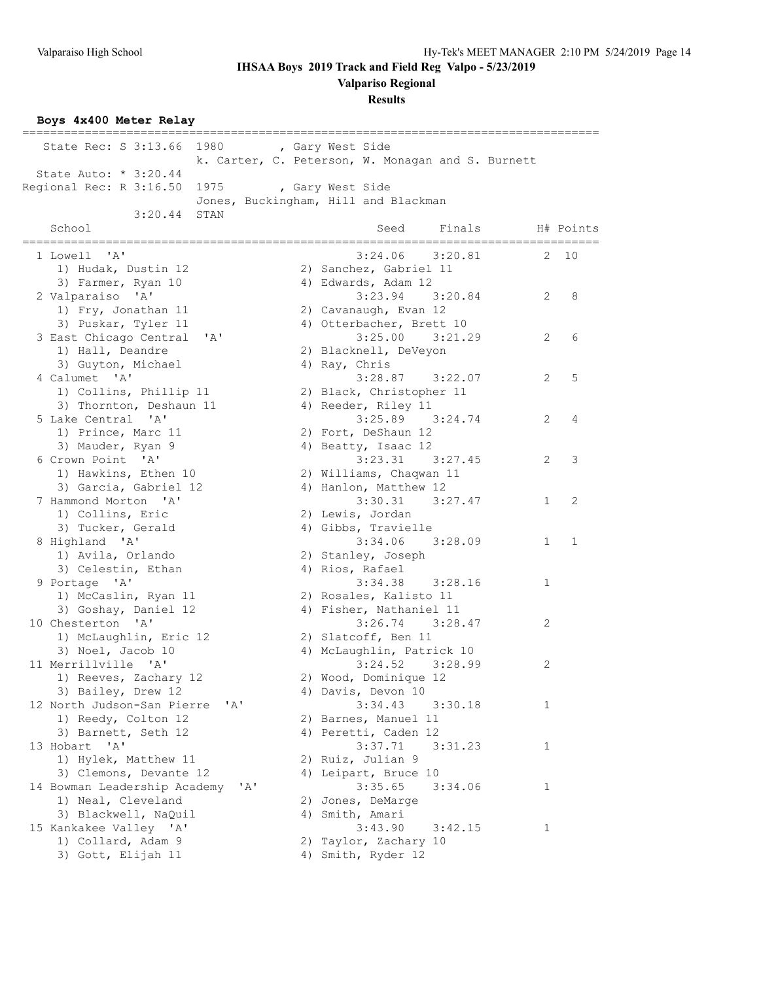**Valpariso Regional**

### **Results**

**Boys 4x400 Meter Relay**

| State Rec: S 3:13.66 1980 , Gary West Side          |                                                   |          |
|-----------------------------------------------------|---------------------------------------------------|----------|
|                                                     | k. Carter, C. Peterson, W. Monagan and S. Burnett |          |
| State Auto: * 3:20.44                               |                                                   |          |
| Regional Rec: R 3:16.50                             | 1975 , Gary West Side                             |          |
|                                                     | Jones, Buckingham, Hill and Blackman              |          |
| 3:20.44 STAN                                        |                                                   |          |
| School                                              | Seed<br>Finals<br>H# Points                       |          |
|                                                     |                                                   |          |
| 1 Lowell 'A'                                        | $3:24.06$ $3:20.81$                               | $2 - 10$ |
| 1) Hudak, Dustin 12                                 | 2) Sanchez, Gabriel 11                            |          |
| 3) Farmer, Ryan 10                                  | 4) Edwards, Adam 12                               |          |
| 2 Valparaiso 'A'                                    | $3:23.94$ $3:20.84$<br>2                          | 8        |
| 1) Fry, Jonathan 11                                 | 2) Cavanaugh, Evan 12                             |          |
| 3) Puskar, Tyler 11                                 | 4) Otterbacher, Brett 10                          |          |
| 3 East Chicago Central<br>$^{\prime}$ A $^{\prime}$ | $3:25.00$ $3:21.29$<br>$\overline{2}$             | 6        |
| 1) Hall, Deandre                                    | 2) Blacknell, DeVeyon                             |          |
| 3) Guyton, Michael                                  | 4) Ray, Chris                                     |          |
| 4 Calumet 'A'                                       | $3:28.87$ $3:22.07$<br>2                          | 5        |
| 1) Collins, Phillip 11                              | 2) Black, Christopher 11                          |          |
| 3) Thornton, Deshaun 11                             | 4) Reeder, Riley 11                               |          |
| 5 Lake Central 'A'                                  | $3:25.89$ $3:24.74$<br>$\overline{2}$             | 4        |
| 1) Prince, Marc 11                                  | 2) Fort, DeShaun 12                               |          |
| 3) Mauder, Ryan 9                                   | 4) Beatty, Isaac 12                               |          |
| 6 Crown Point 'A'                                   | $3:23.31$ $3:27.45$<br>2                          | 3        |
| 1) Hawkins, Ethen 10                                | 2) Williams, Chaqwan 11                           |          |
| 3) Garcia, Gabriel 12                               | 4) Hanlon, Matthew 12                             |          |
| 7 Hammond Morton 'A'                                | $3:30.31$ $3:27.47$<br>$\mathbf{1}$               | 2        |
| 1) Collins, Eric                                    | 2) Lewis, Jordan                                  |          |
| 3) Tucker, Gerald                                   | 4) Gibbs, Travielle                               |          |
| 8 Highland 'A'                                      | $3:34.06$ $3:28.09$<br>$\mathbf{1}$               | 1        |
| 1) Avila, Orlando                                   | 2) Stanley, Joseph                                |          |
| 3) Celestin, Ethan                                  | 4) Rios, Rafael                                   |          |
| 9 Portage 'A'                                       | $3:34.38$ $3:28.16$<br>$\mathbf{1}$               |          |
| 1) McCaslin, Ryan 11                                | 2) Rosales, Kalisto 11                            |          |
| 3) Goshay, Daniel 12                                | 4) Fisher, Nathaniel 11                           |          |
| 10 Chesterton 'A'                                   | $3:26.74$ $3:28.47$<br>2                          |          |
| 1) McLaughlin, Eric 12                              | 2) Slatcoff, Ben 11                               |          |
| 3) Noel, Jacob 10                                   | 4) McLaughlin, Patrick 10                         |          |
| 11 Merrillville 'A'                                 | $3:24.52$ $3:28.99$<br>2                          |          |
| 1) Reeves, Zachary 12                               | 2) Wood, Dominique 12                             |          |
| 3) Bailey, Drew 12                                  | 4) Davis, Devon 10                                |          |
| 12 North Judson-San Pierre<br>'A'                   | 3:34.43<br>3:30.18<br>1                           |          |
| 1) Reedy, Colton 12                                 | 2) Barnes, Manuel 11                              |          |
| 3) Barnett, Seth 12                                 | 4) Peretti, Caden 12                              |          |
| 13 Hobart<br>$^{\prime}$ A $^{\prime}$              | 3:37.71<br>3:31.23<br>1                           |          |
| 1) Hylek, Matthew 11                                | 2) Ruiz, Julian 9                                 |          |
| 3) Clemons, Devante 12                              | 4) Leipart, Bruce 10                              |          |
| 14 Bowman Leadership Academy<br>$\mathsf{A}$        | 3:35.65<br>3:34.06<br>1                           |          |
| 1) Neal, Cleveland                                  | 2) Jones, DeMarge                                 |          |
| 3) Blackwell, NaQuil                                | 4) Smith, Amari                                   |          |
| 15 Kankakee Valley 'A'                              | 3:43.90<br>3:42.15<br>1                           |          |
| 1) Collard, Adam 9                                  | Taylor, Zachary 10<br>2)                          |          |
| 3) Gott, Elijah 11                                  | 4) Smith, Ryder 12                                |          |
|                                                     |                                                   |          |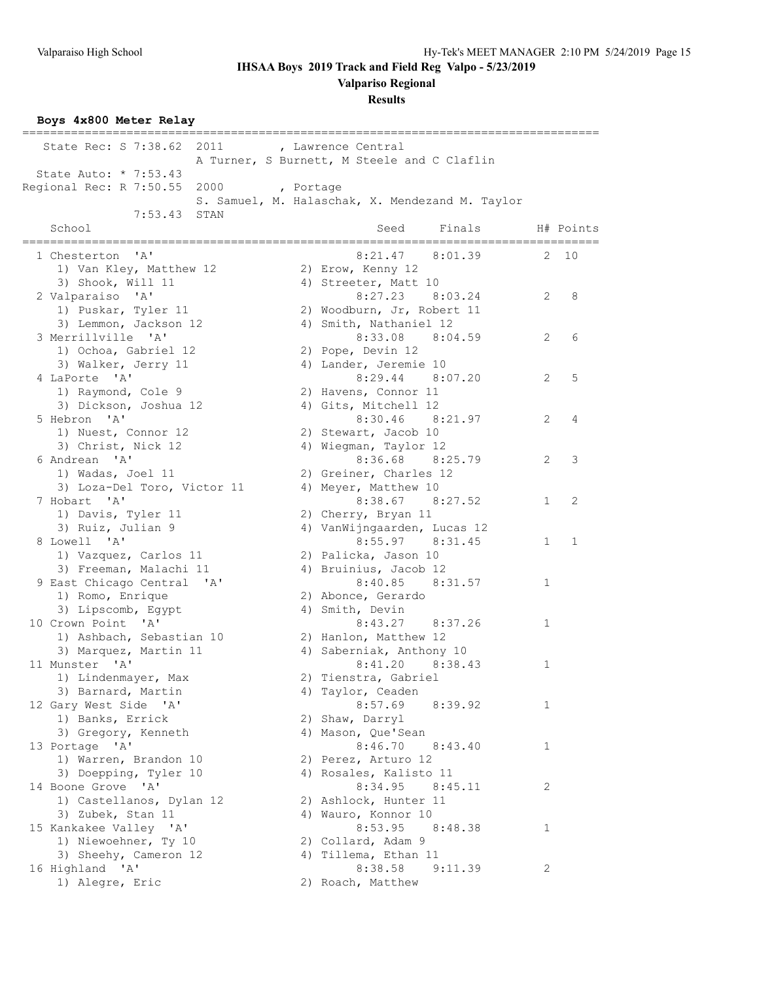**Valpariso Regional**

**Results**

**Boys 4x800 Meter Relay**

| State Rec: S 7:38.62<br>2011                  |           | , Lawrence Central                              |              |             |
|-----------------------------------------------|-----------|-------------------------------------------------|--------------|-------------|
|                                               |           | A Turner, S Burnett, M Steele and C Claflin     |              |             |
| State Auto: * 7:53.43                         |           |                                                 |              |             |
| Regional Rec: R 7:50.55<br>2000               | , Portage |                                                 |              |             |
|                                               |           | S. Samuel, M. Halaschak, X. Mendezand M. Taylor |              |             |
| 7:53.43<br>STAN<br>School                     |           | Seed<br>Finals                                  |              | H# Points   |
| ---------------------------                   |           |                                                 |              |             |
| 1 Chesterton 'A'                              |           | 8:21.47 8:01.39                                 | 2            | 10          |
| 1) Van Kley, Matthew 12                       |           | 2) Erow, Kenny 12                               |              |             |
| 3) Shook, Will 11                             |           | 4) Streeter, Matt 10                            |              |             |
| 2 Valparaiso 'A'                              |           | 8:27.23 8:03.24                                 | 2            | 8           |
| 1) Puskar, Tyler 11                           |           | 2) Woodburn, Jr, Robert 11                      |              |             |
| 3) Lemmon, Jackson 12<br>3 Merrillville 'A'   |           | 4) Smith, Nathaniel 12<br>8:33.08 8:04.59       | 2            | 6           |
| 1) Ochoa, Gabriel 12                          |           | 2) Pope, Devin 12                               |              |             |
| 3) Walker, Jerry 11                           |           | 4) Lander, Jeremie 10                           |              |             |
| 4 LaPorte 'A'                                 |           | 8:29.44 8:07.20                                 | 2            | 5           |
| 1) Raymond, Cole 9                            |           | 2) Havens, Connor 11                            |              |             |
| 3) Dickson, Joshua 12                         |           | 4) Gits, Mitchell 12                            |              |             |
| 5 Hebron 'A'                                  |           | $8:30.46$ $8:21.97$                             | 2            | 4           |
| 1) Nuest, Connor 12                           |           | 2) Stewart, Jacob 10                            |              |             |
| 3) Christ, Nick 12                            |           | 4) Wiegman, Taylor 12                           |              |             |
| 6 Andrean 'A'                                 |           | 8:36.68 8:25.79                                 | 2            | 3           |
| 1) Wadas, Joel 11                             |           | 2) Greiner, Charles 12                          |              |             |
| 3) Loza-Del Toro, Victor 11                   |           | 4) Meyer, Matthew 10                            |              |             |
| 7 Hobart 'A'                                  |           | 8:38.67 8:27.52                                 | $\mathbf{1}$ | 2           |
| 1) Davis, Tyler 11                            |           | 2) Cherry, Bryan 11                             |              |             |
| 3) Ruiz, Julian 9                             |           | 4) VanWijngaarden, Lucas 12                     |              |             |
| 8 Lowell 'A'                                  |           | 8:55.97 8:31.45                                 | $\mathbf{1}$ | $\mathbf 1$ |
| 1) Vazquez, Carlos 11                         |           | 2) Palicka, Jason 10                            |              |             |
| 3) Freeman, Malachi 11                        |           | 4) Bruinius, Jacob 12                           |              |             |
| 9 East Chicago Central 'A'                    |           | 8:40.85<br>8:31.57                              | $\mathbf{1}$ |             |
| 1) Romo, Enrique<br>3) Lipscomb, Egypt        |           | 2) Abonce, Gerardo<br>4) Smith, Devin           |              |             |
| 10 Crown Point 'A'                            |           | 8:43.27 8:37.26                                 | $\mathbf{1}$ |             |
| 1) Ashbach, Sebastian 10                      |           | 2) Hanlon, Matthew 12                           |              |             |
| 3) Marquez, Martin 11                         |           | 4) Saberniak, Anthony 10                        |              |             |
| 11 Munster 'A'                                |           | 8:41.20 8:38.43                                 | 1            |             |
| 1) Lindenmayer, Max                           |           | 2) Tienstra, Gabriel                            |              |             |
| 3) Barnard, Martin                            |           | 4) Taylor, Ceaden                               |              |             |
| 12 Gary West Side 'A'                         |           | 8:57.69<br>8:39.92                              | 1            |             |
| 1) Banks, Errick                              |           | 2) Shaw, Darryl                                 |              |             |
| 3) Gregory, Kenneth                           |           | 4) Mason, Que'Sean                              |              |             |
| 13 Portage 'A'                                |           | 8:46.70<br>8:43.40                              | 1            |             |
| 1) Warren, Brandon 10                         |           | 2) Perez, Arturo 12                             |              |             |
| 3) Doepping, Tyler 10                         |           | 4) Rosales, Kalisto 11                          |              |             |
| 14 Boone Grove 'A'                            |           | 8:34.95<br>8:45.11                              | 2            |             |
| 1) Castellanos, Dylan 12                      |           | 2) Ashlock, Hunter 11                           |              |             |
| 3) Zubek, Stan 11                             |           | 4) Wauro, Konnor 10                             |              |             |
| 15 Kankakee Valley 'A'                        |           | 8:53.95<br>8:48.38                              | 1            |             |
| 1) Niewoehner, Ty 10<br>3) Sheehy, Cameron 12 |           | 2) Collard, Adam 9<br>4) Tillema, Ethan 11      |              |             |
| 16 Highland 'A'                               |           | 8:38.58<br>9:11.39                              | $\mathbf{2}$ |             |
| 1) Alegre, Eric                               |           | 2) Roach, Matthew                               |              |             |
|                                               |           |                                                 |              |             |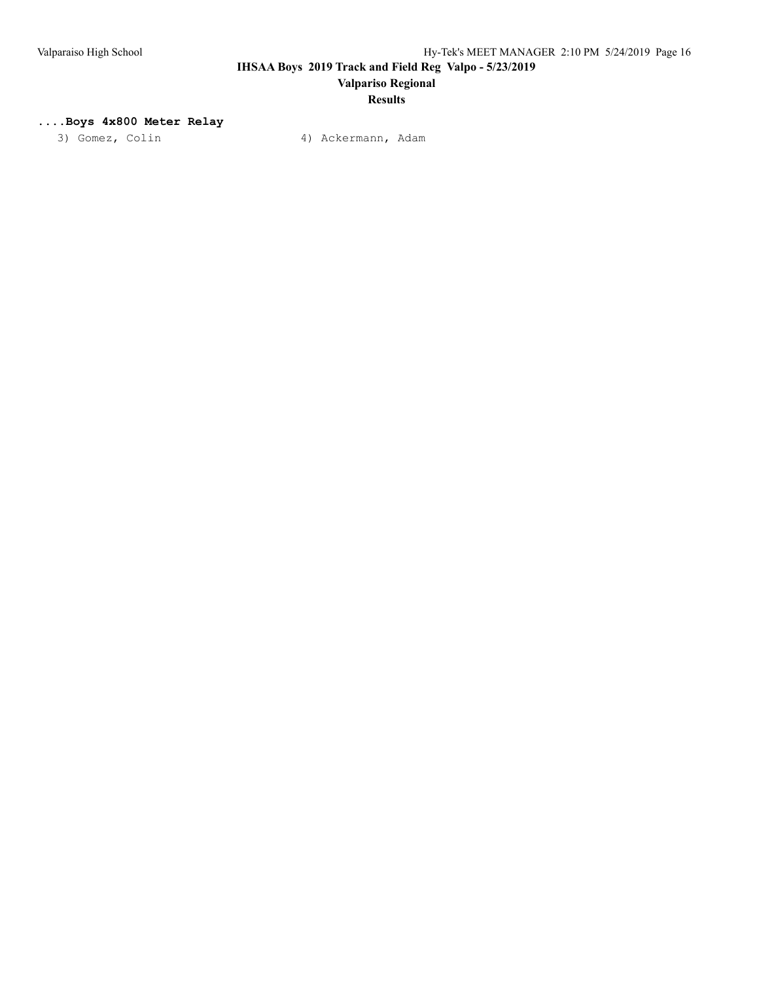# **Valpariso Regional**

## **Results**

### **....Boys 4x800 Meter Relay**

3) Gomez, Colin (4) Ackermann, Adam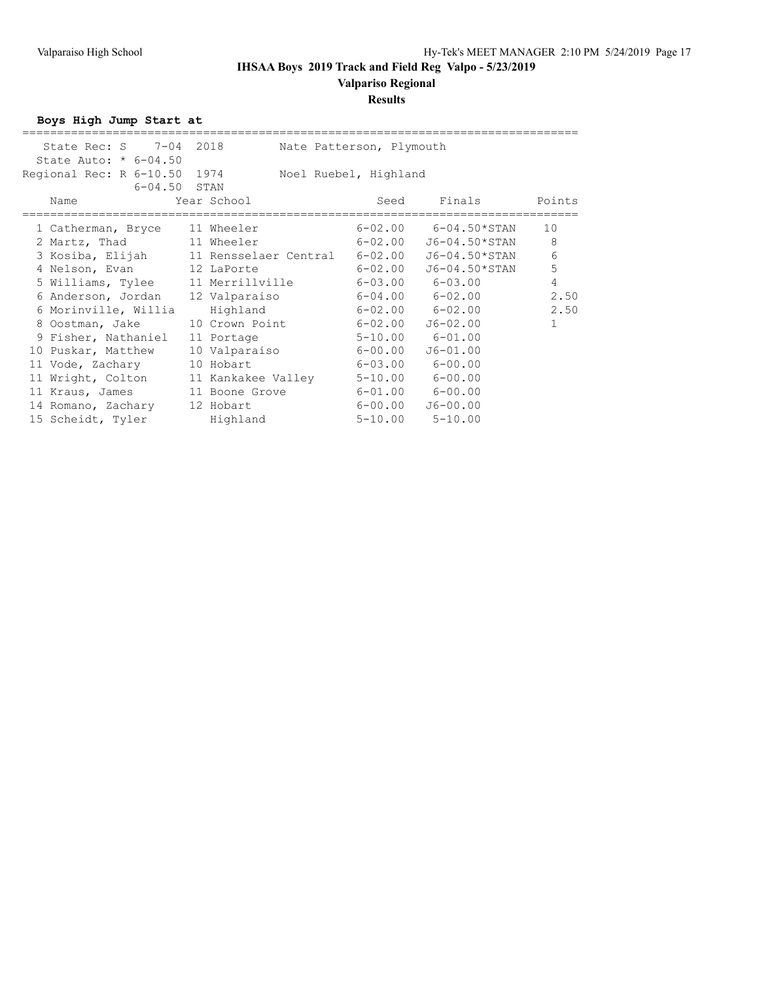## **Valpariso Regional**

### **Results**

**Boys High Jump Start at**

| State Rec: S 7-04 2018                               | Nate Patterson, Plymouth         |             |                          |                |
|------------------------------------------------------|----------------------------------|-------------|--------------------------|----------------|
| State Auto: $* 6-04.50$                              |                                  |             |                          |                |
| Regional Rec: R 6-10.50 1974                         | Noel Ruebel, Highland            |             |                          |                |
| $6 - 04.50$ STAN                                     |                                  |             |                          |                |
| Name                                                 | Year School                      | Seed        | Finals                   | Points         |
|                                                      |                                  |             |                          |                |
| 1 Catherman, Bryce 11 Wheeler                        |                                  |             | $6-02.00$ $6-04.50*STAN$ | 10             |
| 2 Martz, Thad 11 Wheeler                             | $6 - 02.00$                      |             | J6-04.50*STAN            | 8              |
| 3 Kosiba, Elijah 11 Rensselaer Central 6-02.00       |                                  |             | J6-04.50*STAN            | 6              |
| 4 Nelson, Evan 12 LaPorte                            |                                  | $6 - 02.00$ | J6-04.50*STAN            | 5              |
| 5 Williams, Tylee 11 Merrillville 6-03.00 6-03.00    |                                  |             |                          | $\overline{4}$ |
| 6 Anderson, Jordan 12 Valparaiso 6-04.00 6-02.00     |                                  |             |                          | 2.50           |
| 6 Morinville, Willia                                 | Highland                         |             | $6-02.00$ $6-02.00$      | 2.50           |
| 8 Oostman, Jake 10 Crown Point 6-02.00               |                                  |             | J6-02.00                 | $\mathbf{1}$   |
| 9 Fisher, Nathaniel                                  | 11 Portage                       |             | $5-10.00$ $6-01.00$      |                |
| 10 Puskar, Matthew                                   | 10 Valparaiso 6-00.00            |             | $J6 - 01.00$             |                |
| 11 Vode, Zachary                                     | $6-03.00$ $6-00.00$<br>10 Hobart |             |                          |                |
| 11 Wright, Colton 11 Kankakee Valley 5-10.00 6-00.00 |                                  |             |                          |                |
| 11 Kraus, James 11 Boone Grove 6-01.00 6-00.00       |                                  |             |                          |                |
| 14 Romano, Zachary 12 Hobart                         | $6 - 00.00$                      |             | $J6 - 00.00$             |                |
| 15 Scheidt, Tyler                                    | Highland                         |             | $5 - 10.00$ $5 - 10.00$  |                |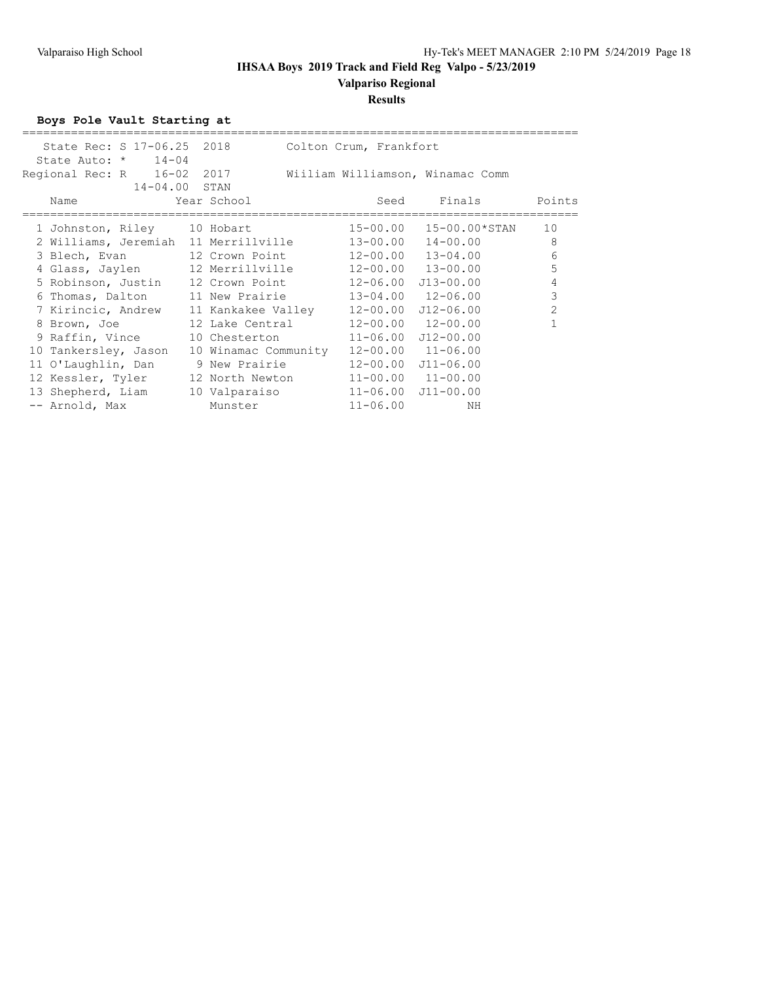# **Valpariso Regional**

### **Results**

**Boys Pole Vault Starting at**

|                             |                   | State Rec: S 17-06.25 2018 Colton Crum, Frankfort           |                            |                            |                |
|-----------------------------|-------------------|-------------------------------------------------------------|----------------------------|----------------------------|----------------|
| State Auto: $\star$ 14-04   |                   |                                                             |                            |                            |                |
|                             |                   | Regional Rec: R 16-02 2017 Wiiliam Williamson, Winamac Comm |                            |                            |                |
|                             | $14 - 04.00$ STAN |                                                             |                            |                            |                |
| Name                        |                   | Year School                                                 |                            | Seed Finals Points         |                |
|                             |                   |                                                             |                            |                            |                |
| 1 Johnston, Riley 10 Hobart |                   |                                                             | 15-00.00                   | 15-00.00*STAN              | 10             |
|                             |                   | 2 Williams, Jeremiah 11 Merrillville                        | 13-00.00                   | $14 - 00.00$               | 8              |
|                             |                   | 3 Blech, Evan 12 Crown Point                                | 12-00.00                   | $13 - 04.00$               | 6              |
|                             |                   | 4 Glass, Jaylen 12 Merrillville 12-00.00 13-00.00           |                            |                            | 5              |
|                             |                   | 5 Robinson, Justin 12 Crown Point                           |                            | 12-06.00 J13-00.00         | $\overline{4}$ |
|                             |                   | 6 Thomas, Dalton 11 New Prairie                             |                            | $13 - 04.00$ $12 - 06.00$  | $\mathbf{3}$   |
|                             |                   | 7 Kirincic, Andrew    11 Kankakee Valley                    |                            | $12 - 00.00$ $J12 - 06.00$ | $\overline{2}$ |
|                             |                   | 8 Brown, Joe 12 Lake Central                                |                            | $12 - 00.00$ $12 - 00.00$  |                |
|                             |                   | 9 Raffin, Vince 10 Chesterton                               | $11 - 06.00$ $J12 - 00.00$ |                            |                |
| 10 Tankersley, Jason        |                   | 10 Winamac Community                                        |                            | $12 - 00.00$ $11 - 06.00$  |                |
|                             |                   | 11 O'Laughlin, Dan 9 New Prairie                            |                            | 12-00.00 J11-06.00         |                |
|                             |                   | 12 Kessler, Tyler 12 North Newton                           |                            | $11 - 00.00$ $11 - 00.00$  |                |
|                             |                   | 13 Shepherd, Liam 10 Valparaiso                             |                            | $11 - 06.00$ $J11 - 00.00$ |                |
| -- Arnold, Max              |                   | Munster                                                     | $11 - 06.00$               | ΝH                         |                |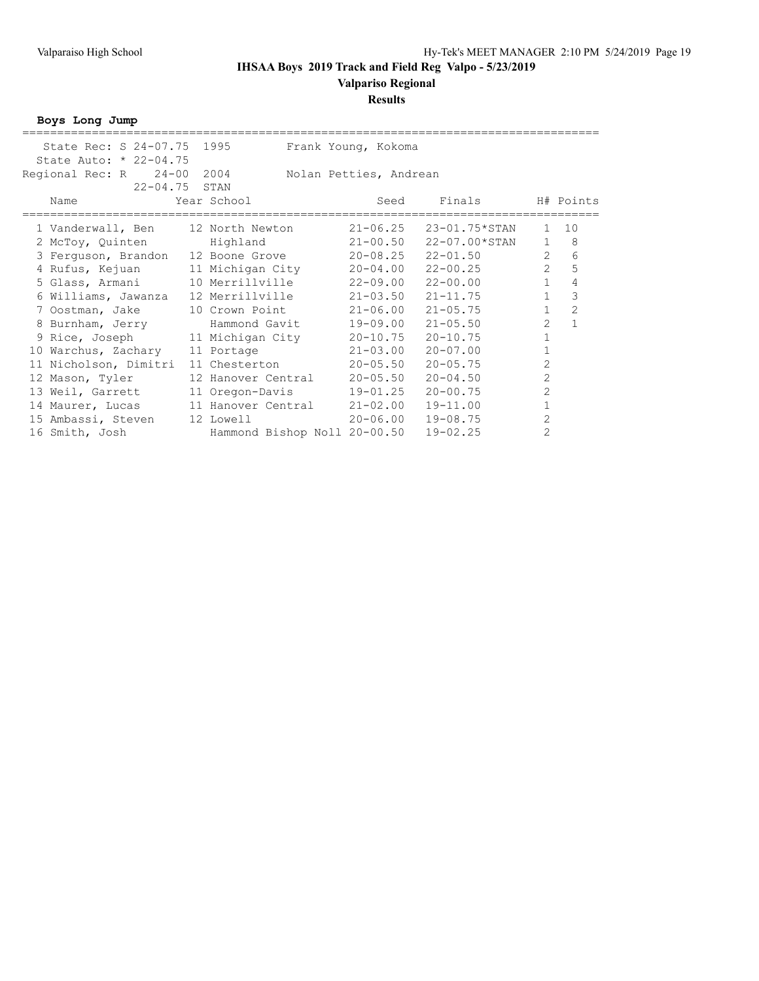### **Results**

**Boys Long Jump**

| State Rec: S 24-07.75 1995          |                              | Frank Young, Kokoma    |               |                |                |
|-------------------------------------|------------------------------|------------------------|---------------|----------------|----------------|
| State Auto: * 22-04.75              |                              |                        |               |                |                |
| Regional Rec: R 24-00 2004          |                              | Nolan Petties, Andrean |               |                |                |
| 22-04.75 STAN                       |                              |                        |               |                |                |
| Name                                | Year School                  | Seed                   | Finals        |                | H# Points      |
|                                     |                              |                        |               |                |                |
| 1 Vanderwall, Ben                   | 12 North Newton              | $21 - 06.25$           | 23-01.75*STAN | $\mathbf{1}$   | 10             |
| 2 McToy, Quinten                    | Highland                     | $21 - 00.50$           | 22-07.00*STAN | $\mathbf{1}$   | 8              |
| 3 Ferguson, Brandon 12 Boone Grove  |                              | $20 - 08.25$           | $22 - 01.50$  | $\overline{2}$ | 6              |
| 4 Rufus, Kejuan                     | 11 Michigan City             | $20 - 04.00$           | $22 - 00.25$  | $\overline{2}$ | 5              |
| 5 Glass, Armani                     | 10 Merrillville              | 22-09.00               | $22 - 00.00$  | $\mathbf{1}$   | $\overline{4}$ |
| 6 Williams, Jawanza                 | 12 Merrillville              | $21 - 03.50$           | $21 - 11.75$  | $\mathbf{1}$   | 3              |
| 7 Oostman, Jake                     | 10 Crown Point               | $21 - 06.00$           | $21 - 05.75$  | $\mathbf{1}$   | $\overline{2}$ |
| 8 Burnham, Jerry                    | Hammond Gavit                | 19-09.00               | $21 - 05.50$  | $\overline{c}$ | $\mathbf{1}$   |
| 9 Rice, Joseph                      | 11 Michigan City             | $20 - 10.75$           | $20 - 10.75$  | 1              |                |
| 10 Warchus, Zachary                 | 11 Portage                   | $21 - 03.00$           | $20 - 07.00$  | $\mathbf{1}$   |                |
| 11 Nicholson, Dimitri               | 11 Chesterton                | $20 - 05.50$           | $20 - 05.75$  | $\overline{2}$ |                |
| 12 Mason, Tyler                     | 12 Hanover Central           | $20 - 05.50$           | $20 - 04.50$  | $\overline{2}$ |                |
| 13 Weil, Garrett                    | 11 Oregon-Davis              | 19-01.25               | $20 - 00.75$  | $\overline{2}$ |                |
| 14 Maurer, Lucas 11 Hanover Central |                              | $21 - 02.00$           | $19 - 11.00$  | $\mathbf{1}$   |                |
| 15 Ambassi, Steven                  | 12 Lowell                    | 20-06.00               | $19 - 08.75$  | 2              |                |
| 16 Smith, Josh                      | Hammond Bishop Noll 20-00.50 |                        | $19 - 02.25$  | $\overline{2}$ |                |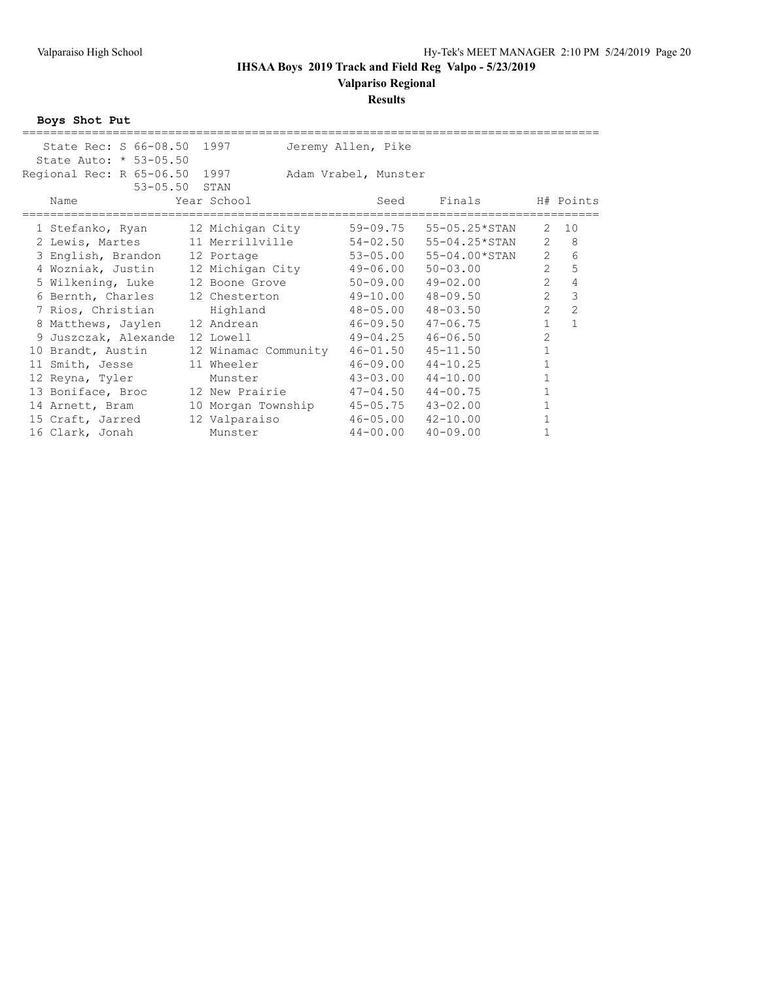### **Results**

**Boys Shot Put**

| State Rec: S 66-08.50 1997<br>Jeremy Allen, Pike<br>State Auto: * 53-05.50<br>Regional Rec: R 65-06.50 1997<br>Adam Vrabel, Munster<br>$53 - 05.50$<br>STAN<br>Finals<br>H# Points<br>Year School<br>Seed<br>Name<br>59-09.75<br>55-05.25*STAN<br>2<br>10<br>12 Michigan City<br>1 Stefanko, Ryan<br>8<br>$\overline{2}$<br>2 Lewis, Martes 11 Merrillville<br>$54 - 02.50$<br>55-04.25*STAN<br>$\overline{2}$<br>6<br>55-04.00*STAN<br>53-05.00<br>3 English, Brandon 12 Portage<br>$\overline{2}$<br>5<br>4 Wozniak, Justin<br>12 Michigan City<br>$49 - 06.00$<br>$50 - 03.00$<br>$\overline{2}$<br>$\overline{4}$<br>50-09.00<br>49-02.00<br>5 Wilkening, Luke 12 Boone Grove |
|-----------------------------------------------------------------------------------------------------------------------------------------------------------------------------------------------------------------------------------------------------------------------------------------------------------------------------------------------------------------------------------------------------------------------------------------------------------------------------------------------------------------------------------------------------------------------------------------------------------------------------------------------------------------------------------|
|                                                                                                                                                                                                                                                                                                                                                                                                                                                                                                                                                                                                                                                                                   |
|                                                                                                                                                                                                                                                                                                                                                                                                                                                                                                                                                                                                                                                                                   |
|                                                                                                                                                                                                                                                                                                                                                                                                                                                                                                                                                                                                                                                                                   |
|                                                                                                                                                                                                                                                                                                                                                                                                                                                                                                                                                                                                                                                                                   |
|                                                                                                                                                                                                                                                                                                                                                                                                                                                                                                                                                                                                                                                                                   |
|                                                                                                                                                                                                                                                                                                                                                                                                                                                                                                                                                                                                                                                                                   |
|                                                                                                                                                                                                                                                                                                                                                                                                                                                                                                                                                                                                                                                                                   |
|                                                                                                                                                                                                                                                                                                                                                                                                                                                                                                                                                                                                                                                                                   |
|                                                                                                                                                                                                                                                                                                                                                                                                                                                                                                                                                                                                                                                                                   |
|                                                                                                                                                                                                                                                                                                                                                                                                                                                                                                                                                                                                                                                                                   |
|                                                                                                                                                                                                                                                                                                                                                                                                                                                                                                                                                                                                                                                                                   |
| $\overline{2}$<br>3<br>$49 - 10.00$<br>$48 - 09.50$<br>6 Bernth, Charles 12 Chesterton                                                                                                                                                                                                                                                                                                                                                                                                                                                                                                                                                                                            |
| $\overline{2}$<br>$\overline{c}$<br>48-05.00<br>48-03.50<br>7 Rios, Christian<br>Highland                                                                                                                                                                                                                                                                                                                                                                                                                                                                                                                                                                                         |
| $\mathbf{1}$<br>46-09.50<br>$47 - 06.75$<br>12 Andrean<br>8 Matthews, Jaylen                                                                                                                                                                                                                                                                                                                                                                                                                                                                                                                                                                                                      |
| $\overline{2}$<br>$49 - 04.25$<br>$46 - 06.50$<br>9 Juszczak, Alexande<br>12 Lowell                                                                                                                                                                                                                                                                                                                                                                                                                                                                                                                                                                                               |
| $\overline{1}$<br>$46 - 01.50$<br>10 Brandt, Austin<br>$45 - 11.50$<br>12 Winamac Community                                                                                                                                                                                                                                                                                                                                                                                                                                                                                                                                                                                       |
| 1<br>$46 - 09.00$<br>11 Wheeler<br>$44 - 10.25$<br>11 Smith, Jesse                                                                                                                                                                                                                                                                                                                                                                                                                                                                                                                                                                                                                |
| $43 - 03.00$<br>$44 - 10.00$<br>$\mathbf{1}$<br>12 Reyna, Tyler<br>Munster                                                                                                                                                                                                                                                                                                                                                                                                                                                                                                                                                                                                        |
| $\mathbf{1}$<br>$47 - 04.50$<br>$44 - 00.75$<br>13 Boniface, Broc<br>12 New Prairie                                                                                                                                                                                                                                                                                                                                                                                                                                                                                                                                                                                               |
| $\mathbf{1}$<br>$45 - 05.75$<br>$43 - 02.00$<br>14 Arnett, Bram<br>10 Morgan Township                                                                                                                                                                                                                                                                                                                                                                                                                                                                                                                                                                                             |
| $\mathbf{1}$<br>12 Valparaiso<br>$46 - 05.00$<br>$42 - 10.00$<br>15 Craft, Jarred                                                                                                                                                                                                                                                                                                                                                                                                                                                                                                                                                                                                 |
| $44 - 00.00$<br>$40 - 09.00$<br>$\mathbf{1}$<br>16 Clark, Jonah<br>Munster                                                                                                                                                                                                                                                                                                                                                                                                                                                                                                                                                                                                        |